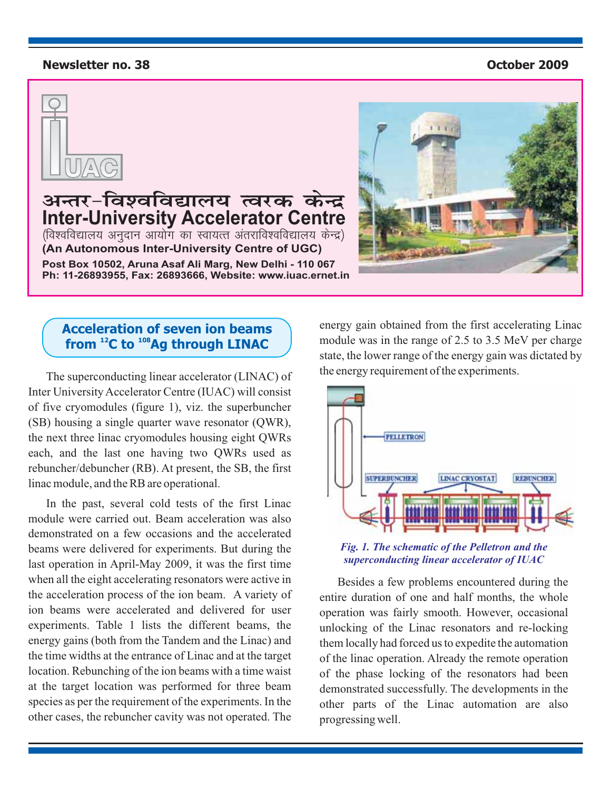#### **Newsletter no. 38 October 2009**



अन्तर-विश्वविद्यालय त्वरक केन्द्र<br>Inter-University Accelerator Centre **Inter-University Accelerator Centre** ¼fo'ofo|ky; vuqnku vk;ksx dk Lok;Rr varjkfo'ofo|ky; dsUnz½ **(An Autonomous Inter-University Centre of UGC)** Ph: 11-26893955, Fax: 26893666, Website: www.iuac.ernet.in

**Ph: 11-26893955, Fax: 26893666, Website: www.iuac.ernet.in**



## **Acceleration of seven ion beams** from <sup>12</sup>C to <sup>108</sup>Ag through LINAC

The superconducting linear accelerator (LINAC) of Inter University Accelerator Centre (IUAC) will consist of five cryomodules (figure 1), viz. the superbuncher (SB) housing a single quarter wave resonator (QWR), the next three linac cryomodules housing eight QWRs each, and the last one having two QWRs used as rebuncher/debuncher (RB). At present, the SB, the first linac module, and the RB are operational.

In the past, several cold tests of the first Linac module were carried out. Beam acceleration was also demonstrated on a few occasions and the accelerated beams were delivered for experiments. But during the last operation in April-May 2009, it was the first time when all the eight accelerating resonators were active in the acceleration process of the ion beam. A variety of ion beams were accelerated and delivered for user experiments. Table 1 lists the different beams, the energy gains (both from the Tandem and the Linac) and the time widths at the entrance of Linac and at the target location. Rebunching of the ion beams with a time waist at the target location was performed for three beam species as per the requirement of the experiments. In the other cases, the rebuncher cavity was not operated. The energy gain obtained from the first accelerating Linac module was in the range of 2.5 to 3.5 MeV per charge state, the lower range of the energy gain was dictated by the energy requirement of the experiments.



*Fig. 1. The schematic of the Pelletron and the superconducting linear accelerator of IUAC*

Besides a few problems encountered during the entire duration of one and half months, the whole operation was fairly smooth. However, occasional unlocking of the Linac resonators and re-locking them locally had forced us to expedite the automation of the linac operation. Already the remote operation of the phase locking of the resonators had been demonstrated successfully. The developments in the other parts of the Linac automation are also progressing well.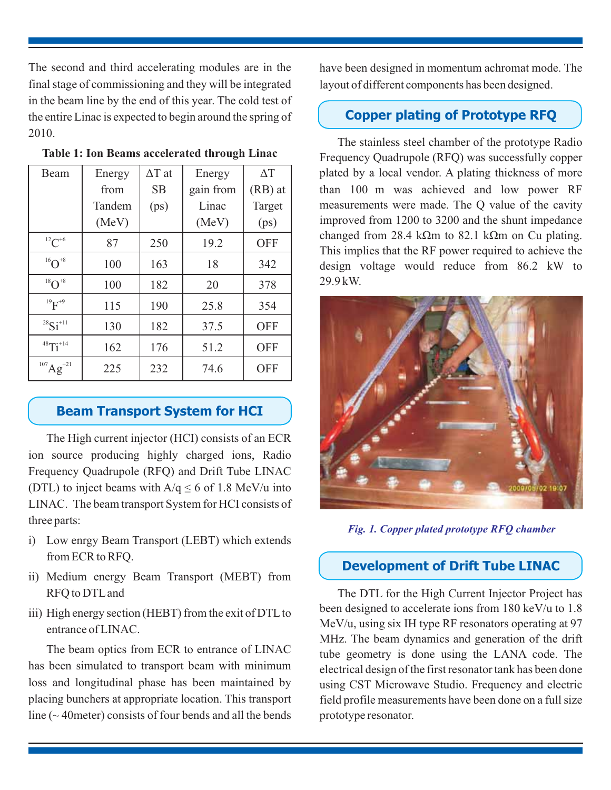The second and third accelerating modules are in the final stage of commissioning and they will be integrated in the beam line by the end of this year. The cold test of the entire Linac is expected to begin around the spring of 2010.

| Beam                                          | Energy | $\Delta T$ at | Energy    | $\Delta T$ |
|-----------------------------------------------|--------|---------------|-----------|------------|
|                                               | from   | <b>SB</b>     | gain from | (RB) at    |
|                                               | Tandem | (ps)          | Linac     | Target     |
|                                               | (MeV)  |               | (MeV)     | (ps)       |
| $^{12}C^{+6}$                                 | 87     | 250           | 19.2      | <b>OFF</b> |
| $^{16}O^{+8}$                                 | 100    | 163           | 18        | 342        |
| $^{18}O^{+8}$                                 | 100    | 182           | 20        | 378        |
| $^{19}F^{+9}$                                 | 115    | 190           | 25.8      | 354        |
| ${}^{28}Si$ <sup>+11</sup>                    | 130    | 182           | 37.5      | <b>OFF</b> |
| $48$ Ti <sup>+14</sup>                        | 162    | 176           | 51.2      | <b>OFF</b> |
| $^{107}\text{Ag}^\circ$<br>$\mathbf{r}^{+21}$ | 225    | 232           | 74.6      | <b>OFF</b> |

**Table 1: Ion Beams accelerated through Linac**

## **Beam Transport System for HCI**

The High current injector (HCI) consists of an ECR ion source producing highly charged ions, Radio Frequency Quadrupole (RFQ) and Drift Tube LINAC (DTL) to inject beams with  $A/q \le 6$  of 1.8 MeV/u into LINAC. The beam transport System for HCI consists of three parts:

- i) Low enrgy Beam Transport (LEBT) which extends from ECR to RFQ.
- ii) Medium energy Beam Transport (MEBT) from RFQ to DTL and
- iii) High energy section (HEBT) from the exit of DTL to entrance of LINAC.

The beam optics from ECR to entrance of LINAC has been simulated to transport beam with minimum loss and longitudinal phase has been maintained by placing bunchers at appropriate location. This transport line  $({\sim}$  40 meter) consists of four bends and all the bends have been designed in momentum achromat mode. The layout of different components has been designed.

# **Copper plating of Prototype RFQ**

The stainless steel chamber of the prototype Radio Frequency Quadrupole (RFQ) was successfully copper plated by a local vendor. A plating thickness of more than 100 m was achieved and low power RF measurements were made. The Q value of the cavity improved from 1200 to 3200 and the shunt impedance changed from 28.4 k $\Omega$ m to 82.1 k $\Omega$ m on Cu plating. This implies that the RF power required to achieve the design voltage would reduce from 86.2 kW to 29.9 kW.



*Fig. 1. Copper plated prototype RFQ chamber*

## **Development of Drift Tube LINAC**

The DTL for the High Current Injector Project has been designed to accelerate ions from 180 keV/u to 1.8 MeV/u, using six IH type RF resonators operating at 97 MHz. The beam dynamics and generation of the drift tube geometry is done using the LANA code. The electrical design of the first resonator tank has been done using CST Microwave Studio. Frequency and electric field profile measurements have been done on a full size prototype resonator.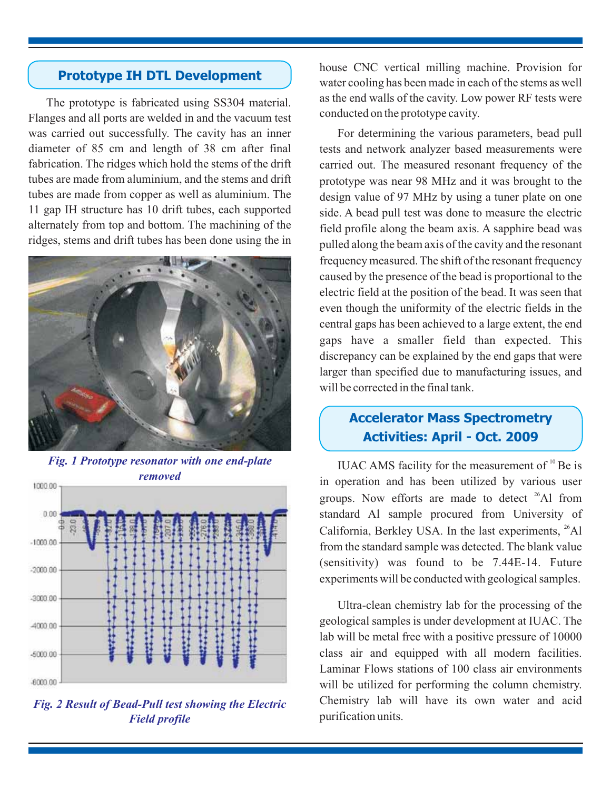## **Prototype IH DTL Development**

The prototype is fabricated using SS304 material. Flanges and all ports are welded in and the vacuum test was carried out successfully. The cavity has an inner diameter of 85 cm and length of 38 cm after final fabrication. The ridges which hold the stems of the drift tubes are made from aluminium, and the stems and drift tubes are made from copper as well as aluminium. The 11 gap IH structure has 10 drift tubes, each supported alternately from top and bottom. The machining of the ridges, stems and drift tubes has been done using the in



*Fig. 1 Prototype resonator with one end-plate*



*Fig. 2 Result of Bead-Pull test showing the Electric Field profile*

house CNC vertical milling machine. Provision for water cooling has been made in each of the stems as well as the end walls of the cavity. Low power RF tests were conducted on the prototype cavity.

For determining the various parameters, bead pull tests and network analyzer based measurements were carried out. The measured resonant frequency of the prototype was near 98 MHz and it was brought to the design value of 97 MHz by using a tuner plate on one side. A bead pull test was done to measure the electric field profile along the beam axis. A sapphire bead was pulled along the beam axis of the cavity and the resonant frequency measured. The shift of the resonant frequency caused by the presence of the bead is proportional to the electric field at the position of the bead. It was seen that even though the uniformity of the electric fields in the central gaps has been achieved to a large extent, the end gaps have a smaller field than expected. This discrepancy can be explained by the end gaps that were larger than specified due to manufacturing issues, and will be corrected in the final tank.

# **Accelerator Mass Spectrometry Activities: April - Oct. 2009**

IUAC AMS facility for the measurement of  $10^{\circ}$  Be is in operation and has been utilized by various user groups. Now efforts are made to detect  $26$ Al from standard Al sample procured from University of California, Berkley USA. In the last experiments, <sup>26</sup>Al from the standard sample was detected. The blank value (sensitivity) was found to be 7.44E-14. Future experiments will be conducted with geological samples.

Ultra-clean chemistry lab for the processing of the geological samples is under development at IUAC. The lab will be metal free with a positive pressure of 10000 class air and equipped with all modern facilities. Laminar Flows stations of 100 class air environments will be utilized for performing the column chemistry. Chemistry lab will have its own water and acid purification units.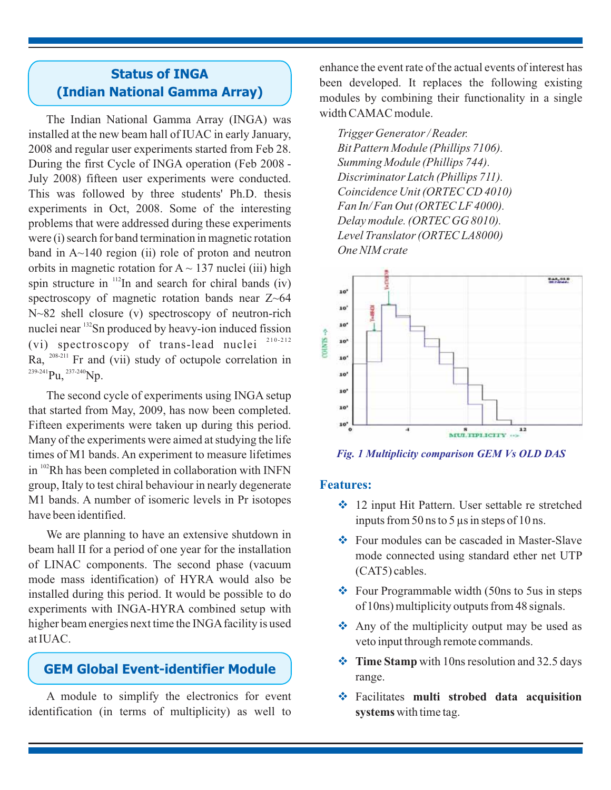## **Status of INGA (Indian National Gamma Array)**

spin structure in  $112$ In and search for chiral bands (iv) nuclei near <sup>132</sup>Sn produced by heavy-ion induced fission (vi) spectroscopy of trans-lead nuclei  $210-212$ Ra,  $^{208-211}$  Fr and (vii) study of octupole correlation in  $^{239-241}$ Pu,  $^{237-240}$ Np. The Indian National Gamma Array (INGA) was installed at the new beam hall of IUAC in early January, 2008 and regular user experiments started from Feb 28. During the first Cycle of INGA operation (Feb 2008 - July 2008) fifteen user experiments were conducted. This was followed by three students' Ph.D. thesis experiments in Oct, 2008. Some of the interesting problems that were addressed during these experiments were (i) search for band termination in magnetic rotation band in  $A \sim 140$  region (ii) role of proton and neutron orbits in magnetic rotation for  $A \sim 137$  nuclei (iii) high spectroscopy of magnetic rotation bands near  $Z \sim 64$ N~82 shell closure (v) spectroscopy of neutron-rich

in  $102$ Rh has been completed in collaboration with INFN The second cycle of experiments using INGA setup that started from May, 2009, has now been completed. Fifteen experiments were taken up during this period. Many of the experiments were aimed at studying the life times of M1 bands. An experiment to measure lifetimes group, Italy to test chiral behaviour in nearly degenerate M1 bands. A number of isomeric levels in Pr isotopes have been identified.

We are planning to have an extensive shutdown in beam hall II for a period of one year for the installation of LINAC components. The second phase (vacuum mode mass identification) of HYRA would also be installed during this period. It would be possible to do experiments with INGA-HYRA combined setup with higher beam energies next time the INGA facility is used at IUAC.

## **GEM Global Event-identifier Module**

A module to simplify the electronics for event identification (in terms of multiplicity) as well to

enhance the event rate of the actual events of interest has been developed. It replaces the following existing modules by combining their functionality in a single width CAMAC module.

*Trigger Generator / Reader. Bit Pattern Module (Phillips 7106). Summing Module (Phillips 744). Discriminator Latch (Phillips 711). Coincidence Unit (ORTEC CD 4010) Fan In/ Fan Out (ORTEC LF 4000). Delay module. (ORTEC GG 8010). Level Translator (ORTEC LA8000) One NIM crate*



*Fig. 1 Multiplicity comparison GEM Vs OLD DAS*

#### **Features:**

- 12 input Hit Pattern. User settable re stretched inputs from 50 ns to 5 μs in steps of 10 ns.
- Four modules can be cascaded in Master-Slave mode connected using standard ether net UTP (CAT5) cables.
- Four Programmable width (50ns to 5us in steps of 10ns) multiplicity outputs from 48 signals.
- Any of the multiplicity output may be used as veto input through remote commands.
- **❖** Time Stamp with 10ns resolution and 32.5 days range.
- Facilitates **multi strobed data acquisition** systems with time tag.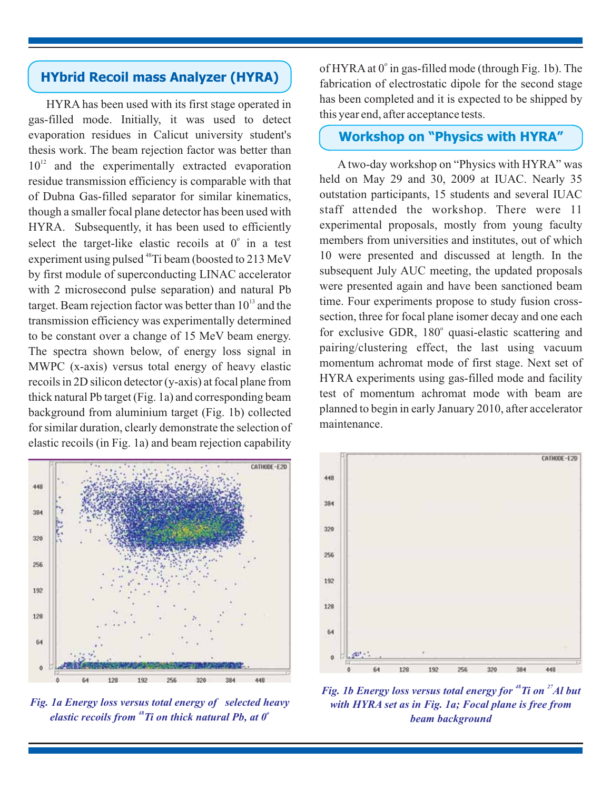## **HYbrid Recoil mass Analyzer (HYRA)**

HYRA has been used with its first stage operated in gas-filled mode. Initially, it was used to detect evaporation residues in Calicut university student's thesis work. The beam rejection factor was better than  $10^{12}$  and the experimentally extracted evaporation residue transmission efficiency is comparable with that of Dubna Gas-filled separator for similar kinematics, though a smaller focal plane detector has been used with HYRA. Subsequently, it has been used to efficiently select the target-like elastic recoils at  $0^\circ$  in a test experiment using pulsed  $^{48}$ Ti beam (boosted to 213 MeV by first module of superconducting LINAC accelerator with 2 microsecond pulse separation) and natural Pb target. Beam rejection factor was better than  $10^{13}$  and the transmission efficiency was experimentally determined to be constant over a change of 15 MeV beam energy. The spectra shown below, of energy loss signal in MWPC (x-axis) versus total energy of heavy elastic recoils in 2D silicon detector (y-axis) at focal plane from thick natural Pb target (Fig. 1a) and corresponding beam background from aluminium target (Fig. 1b) collected for similar duration, clearly demonstrate the selection of elastic recoils (in Fig. 1a) and beam rejection capability

CATHODE-E2D 448 384 320 256 192 128 64

*Fig. 1a Energy loss versus total energy of selected heavy elastic recoils from <sup>48</sup>Ti on thick natural Pb, at 0<sup><i>°*</sup>

of HYRA at 0° in gas-filled mode (through Fig. 1b). The fabrication of electrostatic dipole for the second stage has been completed and it is expected to be shipped by this year end, after acceptance tests.

## **Workshop on "Physics with HYRA"**

A two-day workshop on "Physics with HYRA" was held on May 29 and 30, 2009 at IUAC. Nearly 35 outstation participants, 15 students and several IUAC staff attended the workshop. There were 11 experimental proposals, mostly from young faculty members from universities and institutes, out of which 10 were presented and discussed at length. In the subsequent July AUC meeting, the updated proposals were presented again and have been sanctioned beam time. Four experiments propose to study fusion crosssection, three for focal plane isomer decay and one each for exclusive GDR, 180° quasi-elastic scattering and pairing/clustering effect, the last using vacuum momentum achromat mode of first stage. Next set of HYRA experiments using gas-filled mode and facility test of momentum achromat mode with beam are planned to begin in early January 2010, after accelerator maintenance.



*Fig. 1b Energy loss versus total energy for <sup>48</sup>Ti on <sup>27</sup>Al but with HYRA set as in Fig. 1a; Focal plane is free from beam background*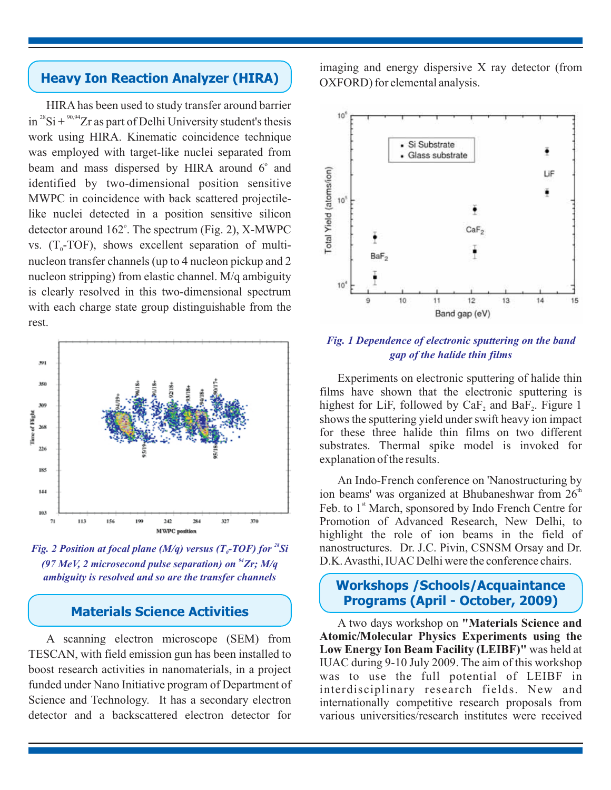# **Heavy Ion Reaction Analyzer (HIRA)**

HIRA has been used to study transfer around barrier in  $2^{8}Si + \frac{90,94}{2}Zr$  as part of Delhi University student's thesis work using HIRA. Kinematic coincidence technique was employed with target-like nuclei separated from beam and mass dispersed by HIRA around 6° and identified by two-dimensional position sensitive MWPC in coincidence with back scattered projectilelike nuclei detected in a position sensitive silicon detector around 162°. The spectrum (Fig. 2), X-MWPC vs.  $(T_0$ -TOF), shows excellent separation of multinucleon transfer channels (up to 4 nucleon pickup and 2 nucleon stripping) from elastic channel. M/q ambiguity is clearly resolved in this two-dimensional spectrum with each charge state group distinguishable from the rest.



*Fig. 2 Position at focal plane (M/q) versus (T<sub>o</sub>-TOF) for*  $^{28}$ *Si* (97 MeV, 2 microsecond pulse separation) on <sup>94</sup>Zr; M/q *ambiguity is resolved and so are the transfer channels*

## **Materials Science Activities**

A scanning electron microscope (SEM) from TESCAN, with field emission gun has been installed to boost research activities in nanomaterials, in a project funded under Nano Initiative program of Department of Science and Technology. It has a secondary electron detector and a backscattered electron detector for

imaging and energy dispersive X ray detector (from OXFORD) for elemental analysis.



### *Fig. 1 Dependence of electronic sputtering on the band gap of the halide thin films*

Experiments on electronic sputtering of halide thin films have shown that the electronic sputtering is highest for LiF, followed by  $CaF_2$  and  $BaF_2$ . Figure 1 shows the sputtering yield under swift heavy ion impact for these three halide thin films on two different substrates. Thermal spike model is invoked for explanation of the results.

An Indo-French conference on 'Nanostructuring by ion beams' was organized at Bhubaneshwar from  $26<sup>th</sup>$ Feb. to 1<sup>st</sup> March, sponsored by Indo French Centre for Promotion of Advanced Research, New Delhi, to highlight the role of ion beams in the field of nanostructures. Dr. J.C. Pivin, CSNSM Orsay and Dr. D.K.Avasthi, IUAC Delhi were the conference chairs.

## **Workshops /Schools/Acquaintance Programs (April - October, 2009)**

A two days workshop on **"Materials Science and** Low Energy Ion Beam Facility (LEIBF)" was held at IUAC during 9-10 July 2009. The aim of this workshop was to use the full potential of LEIBF in interdisciplinary research fields. New and internationally competitive research proposals from various universities/research institutes were received **Atomic/Molecular Physics Experiments using the**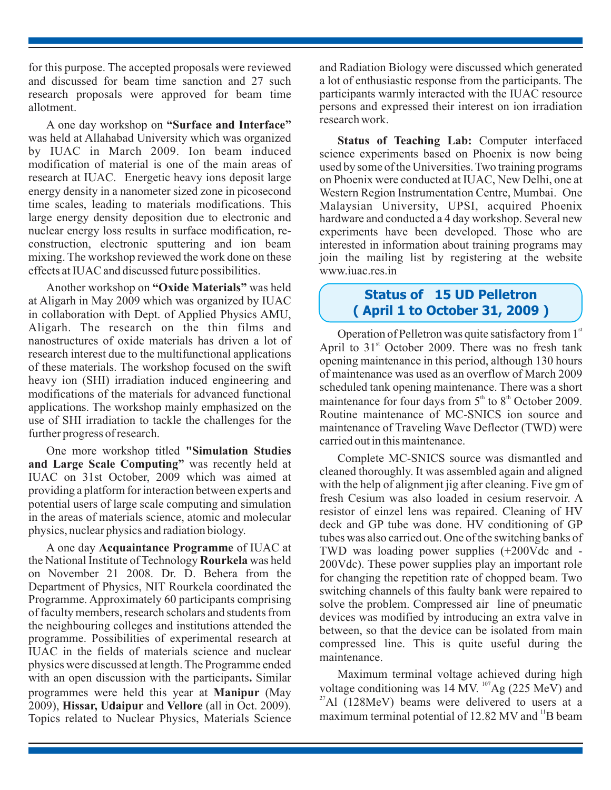for this purpose. The accepted proposals were reviewed and discussed for beam time sanction and 27 such research proposals were approved for beam time allotment.

A one day workshop on **"Surface and Interface"** was held at Allahabad University which was organized by IUAC in March 2009. Ion beam induced modification of material is one of the main areas of research at IUAC. Energetic heavy ions deposit large energy density in a nanometer sized zone in picosecond time scales, leading to materials modifications. This large energy density deposition due to electronic and nuclear energy loss results in surface modification, reconstruction, electronic sputtering and ion beam mixing. The workshop reviewed the work done on these effects at IUAC and discussed future possibilities.

Another workshop on "Oxide Materials" was held at Aligarh in May 2009 which was organized by IUAC in collaboration with Dept. of Applied Physics AMU, Aligarh. The research on the thin films and nanostructures of oxide materials has driven a lot of research interest due to the multifunctional applications of these materials. The workshop focused on the swift heavy ion (SHI) irradiation induced engineering and modifications of the materials for advanced functional applications. The workshop mainly emphasized on the use of SHI irradiation to tackle the challenges for the further progress of research.

One more workshop titled **"Simulation Studies** and Large Scale Computing" was recently held at IUAC on 31st October, 2009 which was aimed at providing a platform for interaction between experts and potential users of large scale computing and simulation in the areas of materials science, atomic and molecular physics, nuclear physics and radiation biology.

A one day Acquaintance Programme of IUAC at the National Institute of Technology Rourkela was held on November 21 2008. Dr. D. Behera from the Department of Physics, NIT Rourkela coordinated the Programme. Approximately 60 participants comprising of faculty members, research scholars and students from the neighbouring colleges and institutions attended the programme. Possibilities of experimental research at IUAC in the fields of materials science and nuclear physics were discussed at length. The Programme ended with an open discussion with the participants. Similar programmes were held this year at Manipur (May 2009), Hissar, Udaipur and Vellore (all in Oct. 2009). Topics related to Nuclear Physics, Materials Science

and Radiation Biology were discussed which generated a lot of enthusiastic response from the participants. The participants warmly interacted with the IUAC resource persons and expressed their interest on ion irradiation research work.

Status of Teaching Lab: Computer interfaced science experiments based on Phoenix is now being used by some of the Universities. Two training programs on Phoenix were conducted at IUAC, New Delhi, one at Western Region Instrumentation Centre, Mumbai. One Malaysian University, UPSI, acquired Phoenix hardware and conducted a 4 day workshop. Several new experiments have been developed. Those who are interested in information about training programs may join the mailing list by registering at the website www.iuac.res.in

## **Status of 15 UD Pelletron ( April 1 to October 31, 2009 )**

Operation of Pelletron was quite satisfactory from 1st April to  $31<sup>st</sup>$  October 2009. There was no fresh tank opening maintenance in this period, although 130 hours of maintenance was used as an overflow of March 2009 scheduled tank opening maintenance. There was a short maintenance for four days from  $5<sup>th</sup>$  to  $8<sup>th</sup>$  October 2009. Routine maintenance of MC-SNICS ion source and maintenance of Traveling Wave Deflector (TWD) were carried out in this maintenance.

Complete MC-SNICS source was dismantled and cleaned thoroughly. It was assembled again and aligned with the help of alignment jig after cleaning. Five gm of fresh Cesium was also loaded in cesium reservoir. A resistor of einzel lens was repaired. Cleaning of HV deck and GP tube was done. HV conditioning of GP tubes was also carried out. One of the switching banks of TWD was loading power supplies (+200Vdc and - 200Vdc). These power supplies play an important role for changing the repetition rate of chopped beam. Two switching channels of this faulty bank were repaired to solve the problem. Compressed air line of pneumatic devices was modified by introducing an extra valve in between, so that the device can be isolated from main compressed line. This is quite useful during the maintenance.

Maximum terminal voltage achieved during high voltage conditioning was  $14 \text{ MV.}^{107}$ Ag (225 MeV) and  $^{27}$ Al (128MeV) beams were delivered to users at a maximum terminal potential of  $12.82$  MV and  $\mathrm{^{11}B}$  beam